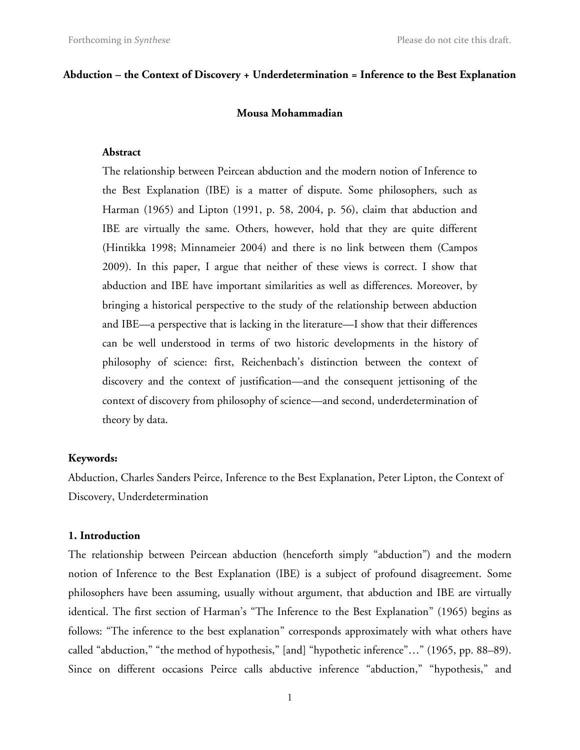### **Abduction – the Context of Discovery + Underdetermination = Inference to the Best Explanation**

#### **Mousa Mohammadian**

### **Abstract**

The relationship between Peircean abduction and the modern notion of Inference to the Best Explanation (IBE) is a matter of dispute. Some philosophers, such as Harman (1965) and Lipton (1991, p. 58, 2004, p. 56), claim that abduction and IBE are virtually the same. Others, however, hold that they are quite different (Hintikka 1998; Minnameier 2004) and there is no link between them (Campos 2009). In this paper, I argue that neither of these views is correct. I show that abduction and IBE have important similarities as well as differences. Moreover, by bringing a historical perspective to the study of the relationship between abduction and IBE—a perspective that is lacking in the literature—I show that their differences can be well understood in terms of two historic developments in the history of philosophy of science: first, Reichenbach's distinction between the context of discovery and the context of justification—and the consequent jettisoning of the context of discovery from philosophy of science—and second, underdetermination of theory by data.

#### **Keywords:**

Abduction, Charles Sanders Peirce, Inference to the Best Explanation, Peter Lipton, the Context of Discovery, Underdetermination

#### **1. Introduction**

The relationship between Peircean abduction (henceforth simply "abduction") and the modern notion of Inference to the Best Explanation (IBE) is a subject of profound disagreement. Some philosophers have been assuming, usually without argument, that abduction and IBE are virtually identical. The first section of Harman's "The Inference to the Best Explanation" (1965) begins as follows: "The inference to the best explanation" corresponds approximately with what others have called "abduction," "the method of hypothesis," [and] "hypothetic inference"…" (1965, pp. 88–89). Since on different occasions Peirce calls abductive inference "abduction," "hypothesis," and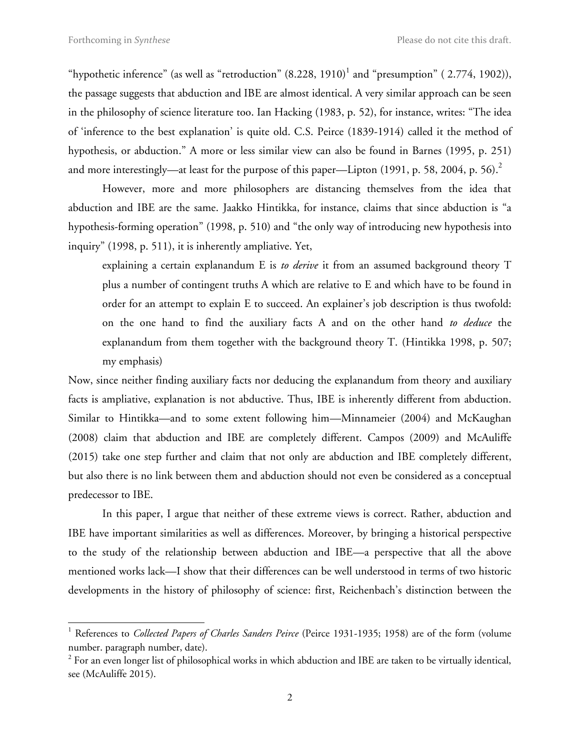$\overline{\phantom{a}}$ 

"hypothetic inference" (as well as "retroduction"  $(8.228, 1910)^1$  and "presumption"  $(2.774, 1902)$ ), the passage suggests that abduction and IBE are almost identical. A very similar approach can be seen in the philosophy of science literature too. Ian Hacking (1983, p. 52), for instance, writes: "The idea of 'inference to the best explanation' is quite old. C.S. Peirce (1839-1914) called it the method of hypothesis, or abduction." A more or less similar view can also be found in Barnes (1995, p. 251) and more interestingly—at least for the purpose of this paper—Lipton (1991, p. 58, 2004, p. 56). $^2$ 

However, more and more philosophers are distancing themselves from the idea that abduction and IBE are the same. Jaakko Hintikka, for instance, claims that since abduction is "a hypothesis-forming operation" (1998, p. 510) and "the only way of introducing new hypothesis into inquiry" (1998, p. 511), it is inherently ampliative. Yet,

explaining a certain explanandum E is *to derive* it from an assumed background theory T plus a number of contingent truths A which are relative to E and which have to be found in order for an attempt to explain E to succeed. An explainer's job description is thus twofold: on the one hand to find the auxiliary facts A and on the other hand *to deduce* the explanandum from them together with the background theory T. (Hintikka 1998, p. 507; my emphasis)

Now, since neither finding auxiliary facts nor deducing the explanandum from theory and auxiliary facts is ampliative, explanation is not abductive. Thus, IBE is inherently different from abduction. Similar to Hintikka—and to some extent following him—Minnameier (2004) and McKaughan (2008) claim that abduction and IBE are completely different. Campos (2009) and McAuliffe (2015) take one step further and claim that not only are abduction and IBE completely different, but also there is no link between them and abduction should not even be considered as a conceptual predecessor to IBE.

In this paper, I argue that neither of these extreme views is correct. Rather, abduction and IBE have important similarities as well as differences. Moreover, by bringing a historical perspective to the study of the relationship between abduction and IBE—a perspective that all the above mentioned works lack—I show that their differences can be well understood in terms of two historic developments in the history of philosophy of science: first, Reichenbach's distinction between the

<sup>&</sup>lt;sup>1</sup> References to *Collected Papers of Charles Sanders Peirce* (Peirce 1931-1935; 1958) are of the form (volume number. paragraph number, date).

 $^2$  For an even longer list of philosophical works in which abduction and IBE are taken to be virtually identical, see (McAuliffe 2015).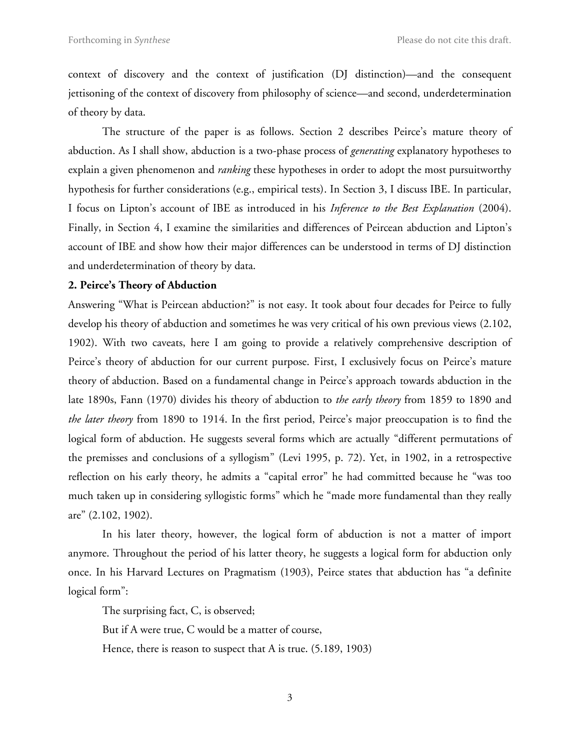context of discovery and the context of justification (DJ distinction)—and the consequent jettisoning of the context of discovery from philosophy of science—and second, underdetermination of theory by data.

The structure of the paper is as follows. Section 2 describes Peirce's mature theory of abduction. As I shall show, abduction is a two-phase process of *generating* explanatory hypotheses to explain a given phenomenon and *ranking* these hypotheses in order to adopt the most pursuitworthy hypothesis for further considerations (e.g., empirical tests). In Section 3, I discuss IBE. In particular, I focus on Lipton's account of IBE as introduced in his *Inference to the Best Explanation* (2004). Finally, in Section 4, I examine the similarities and differences of Peircean abduction and Lipton's account of IBE and show how their major differences can be understood in terms of DJ distinction and underdetermination of theory by data.

#### **2. Peirce's Theory of Abduction**

Answering "What is Peircean abduction?" is not easy. It took about four decades for Peirce to fully develop his theory of abduction and sometimes he was very critical of his own previous views (2.102, 1902). With two caveats, here I am going to provide a relatively comprehensive description of Peirce's theory of abduction for our current purpose. First, I exclusively focus on Peirce's mature theory of abduction. Based on a fundamental change in Peirce's approach towards abduction in the late 1890s, Fann (1970) divides his theory of abduction to *the early theory* from 1859 to 1890 and *the later theory* from 1890 to 1914. In the first period, Peirce's major preoccupation is to find the logical form of abduction. He suggests several forms which are actually "different permutations of the premisses and conclusions of a syllogism" (Levi 1995, p. 72). Yet, in 1902, in a retrospective reflection on his early theory, he admits a "capital error" he had committed because he "was too much taken up in considering syllogistic forms" which he "made more fundamental than they really are" (2.102, 1902).

In his later theory, however, the logical form of abduction is not a matter of import anymore. Throughout the period of his latter theory, he suggests a logical form for abduction only once. In his Harvard Lectures on Pragmatism (1903), Peirce states that abduction has "a definite logical form":

The surprising fact, C, is observed;

But if A were true, C would be a matter of course,

Hence, there is reason to suspect that A is true. (5.189, 1903)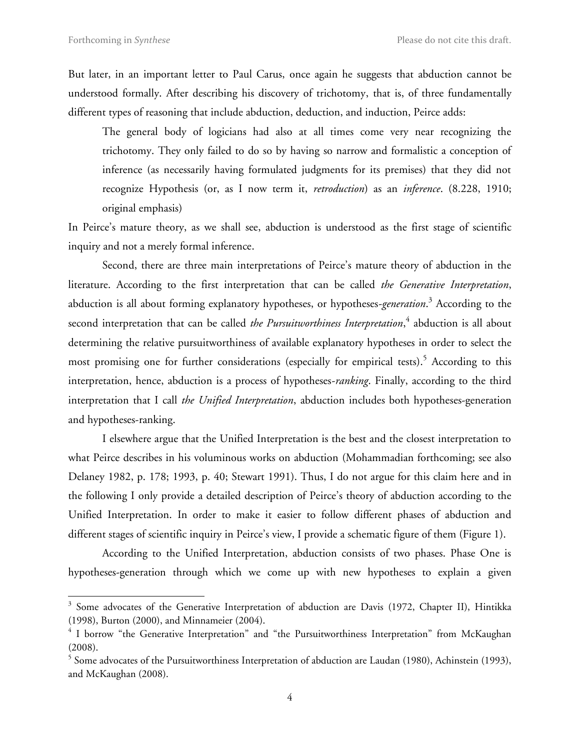But later, in an important letter to Paul Carus, once again he suggests that abduction cannot be understood formally. After describing his discovery of trichotomy, that is, of three fundamentally different types of reasoning that include abduction, deduction, and induction, Peirce adds:

The general body of logicians had also at all times come very near recognizing the trichotomy. They only failed to do so by having so narrow and formalistic a conception of inference (as necessarily having formulated judgments for its premises) that they did not recognize Hypothesis (or, as I now term it, *retroduction*) as an *inference*. (8.228, 1910; original emphasis)

In Peirce's mature theory, as we shall see, abduction is understood as the first stage of scientific inquiry and not a merely formal inference.

Second, there are three main interpretations of Peirce's mature theory of abduction in the literature. According to the first interpretation that can be called *the Generative Interpretation*, abduction is all about forming explanatory hypotheses, or hypotheses-*generation*. <sup>3</sup> According to the second interpretation that can be called *the Pursuitworthiness Interpretation*, 4 abduction is all about determining the relative pursuitworthiness of available explanatory hypotheses in order to select the most promising one for further considerations (especially for empirical tests). <sup>5</sup> According to this interpretation, hence, abduction is a process of hypotheses-*ranking*. Finally, according to the third interpretation that I call *the Unified Interpretation*, abduction includes both hypotheses-generation and hypotheses-ranking.

I elsewhere argue that the Unified Interpretation is the best and the closest interpretation to what Peirce describes in his voluminous works on abduction (Mohammadian forthcoming; see also Delaney 1982, p. 178; 1993, p. 40; Stewart 1991). Thus, I do not argue for this claim here and in the following I only provide a detailed description of Peirce's theory of abduction according to the Unified Interpretation. In order to make it easier to follow different phases of abduction and different stages of scientific inquiry in Peirce's view, I provide a schematic figure of them (Figure 1).

According to the Unified Interpretation, abduction consists of two phases. Phase One is hypotheses-generation through which we come up with new hypotheses to explain a given

<sup>&</sup>lt;sup>3</sup> Some advocates of the Generative Interpretation of abduction are Davis (1972, Chapter II), Hintikka (1998), Burton (2000), and Minnameier (2004).

<sup>&</sup>lt;sup>4</sup> I borrow "the Generative Interpretation" and "the Pursuitworthiness Interpretation" from McKaughan (2008).

<sup>&</sup>lt;sup>5</sup> Some advocates of the Pursuitworthiness Interpretation of abduction are Laudan (1980), Achinstein (1993), and McKaughan (2008).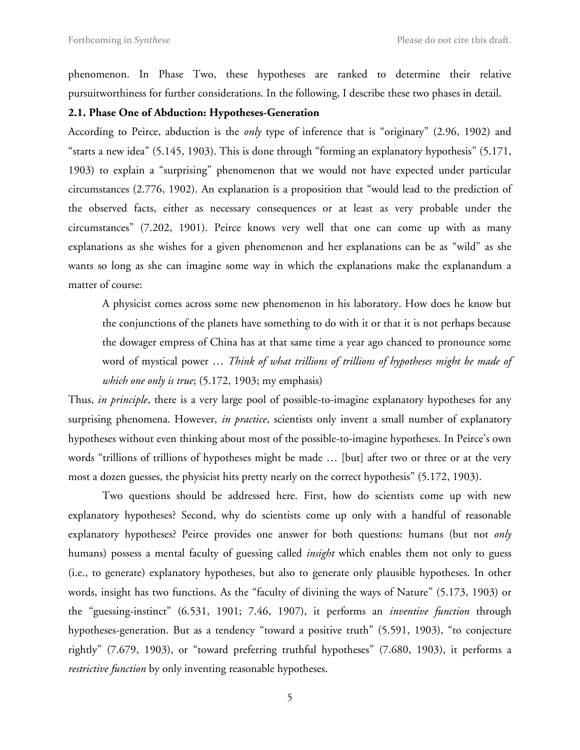phenomenon. In Phase Two, these hypotheses are ranked to determine their relative pursuitworthiness for further considerations. In the following, I describe these two phases in detail.

## **2.1. Phase One of Abduction: Hypotheses-Generation**

According to Peirce, abduction is the *only* type of inference that is "originary" (2.96, 1902) and "starts a new idea" (5.145, 1903). This is done through "forming an explanatory hypothesis" (5.171, 1903) to explain a "surprising" phenomenon that we would not have expected under particular circumstances (2.776, 1902). An explanation is a proposition that "would lead to the prediction of the observed facts, either as necessary consequences or at least as very probable under the circumstances" (7.202, 1901). Peirce knows very well that one can come up with as many explanations as she wishes for a given phenomenon and her explanations can be as "wild" as she wants so long as she can imagine some way in which the explanations make the explanandum a matter of course:

A physicist comes across some new phenomenon in his laboratory. How does he know but the conjunctions of the planets have something to do with it or that it is not perhaps because the dowager empress of China has at that same time a year ago chanced to pronounce some word of mystical power … *Think of what trillions of trillions of hypotheses might be made of which one only is true*; (5.172, 1903; my emphasis)

Thus, *in principle*, there is a very large pool of possible-to-imagine explanatory hypotheses for any surprising phenomena. However, *in practice*, scientists only invent a small number of explanatory hypotheses without even thinking about most of the possible-to-imagine hypotheses. In Peirce's own words "trillions of trillions of hypotheses might be made … [but] after two or three or at the very most a dozen guesses, the physicist hits pretty nearly on the correct hypothesis" (5.172, 1903).

Two questions should be addressed here. First, how do scientists come up with new explanatory hypotheses? Second, why do scientists come up only with a handful of reasonable explanatory hypotheses? Peirce provides one answer for both questions: humans (but not *only* humans) possess a mental faculty of guessing called *insight* which enables them not only to guess (i.e., to generate) explanatory hypotheses, but also to generate only plausible hypotheses. In other words, insight has two functions. As the "faculty of divining the ways of Nature" (5.173, 1903) or the "guessing-instinct" (6.531, 1901; 7.46, 1907), it performs an *inventive function* through hypotheses-generation. But as a tendency "toward a positive truth" (5.591, 1903), "to conjecture rightly" (7.679, 1903), or "toward preferring truthful hypotheses" (7.680, 1903), it performs a *restrictive function* by only inventing reasonable hypotheses.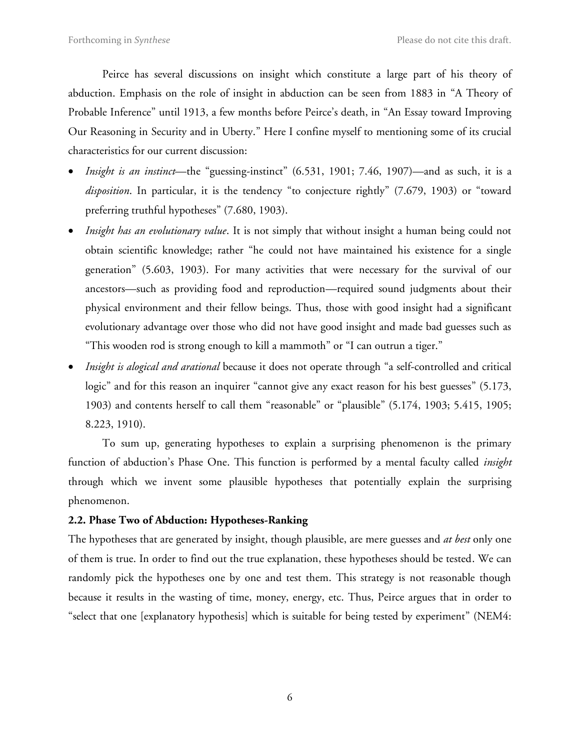Peirce has several discussions on insight which constitute a large part of his theory of abduction. Emphasis on the role of insight in abduction can be seen from 1883 in "A Theory of Probable Inference" until 1913, a few months before Peirce's death, in "An Essay toward Improving Our Reasoning in Security and in Uberty." Here I confine myself to mentioning some of its crucial characteristics for our current discussion:

- *Insight is an instinct*—the "guessing-instinct" (6.531, 1901; 7.46, 1907)—and as such, it is a *disposition*. In particular, it is the tendency "to conjecture rightly" (7.679, 1903) or "toward preferring truthful hypotheses" (7.680, 1903).
- *Insight has an evolutionary value*. It is not simply that without insight a human being could not obtain scientific knowledge; rather "he could not have maintained his existence for a single generation" (5.603, 1903). For many activities that were necessary for the survival of our ancestors—such as providing food and reproduction—required sound judgments about their physical environment and their fellow beings. Thus, those with good insight had a significant evolutionary advantage over those who did not have good insight and made bad guesses such as "This wooden rod is strong enough to kill a mammoth" or "I can outrun a tiger."
- *Insight is alogical and arational* because it does not operate through "a self-controlled and critical logic" and for this reason an inquirer "cannot give any exact reason for his best guesses" (5.173, 1903) and contents herself to call them "reasonable" or "plausible" (5.174, 1903; 5.415, 1905; 8.223, 1910).

To sum up, generating hypotheses to explain a surprising phenomenon is the primary function of abduction's Phase One. This function is performed by a mental faculty called *insight* through which we invent some plausible hypotheses that potentially explain the surprising phenomenon.

## **2.2. Phase Two of Abduction: Hypotheses-Ranking**

The hypotheses that are generated by insight, though plausible, are mere guesses and *at best* only one of them is true. In order to find out the true explanation, these hypotheses should be tested. We can randomly pick the hypotheses one by one and test them. This strategy is not reasonable though because it results in the wasting of time, money, energy, etc. Thus, Peirce argues that in order to "select that one [explanatory hypothesis] which is suitable for being tested by experiment" (NEM4: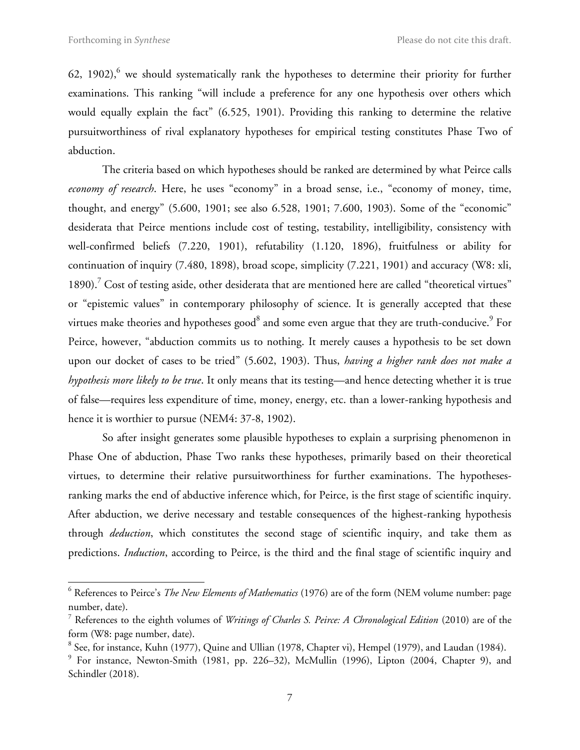$\overline{\phantom{a}}$ 

62, 1902), $6$  we should systematically rank the hypotheses to determine their priority for further examinations. This ranking "will include a preference for any one hypothesis over others which would equally explain the fact" (6.525, 1901). Providing this ranking to determine the relative pursuitworthiness of rival explanatory hypotheses for empirical testing constitutes Phase Two of abduction.

The criteria based on which hypotheses should be ranked are determined by what Peirce calls *economy of research*. Here, he uses "economy" in a broad sense, i.e., "economy of money, time, thought, and energy" (5.600, 1901; see also 6.528, 1901; 7.600, 1903). Some of the "economic" desiderata that Peirce mentions include cost of testing, testability, intelligibility, consistency with well-confirmed beliefs (7.220, 1901), refutability (1.120, 1896), fruitfulness or ability for continuation of inquiry (7.480, 1898), broad scope, simplicity (7.221, 1901) and accuracy (W8: xli, 1890).<sup>7</sup> Cost of testing aside, other desiderata that are mentioned here are called "theoretical virtues" or "epistemic values" in contemporary philosophy of science. It is generally accepted that these virtues make theories and hypotheses good $^8$  and some even argue that they are truth-conducive. $^9$  For Peirce, however, "abduction commits us to nothing. It merely causes a hypothesis to be set down upon our docket of cases to be tried" (5.602, 1903). Thus, *having a higher rank does not make a hypothesis more likely to be true*. It only means that its testing—and hence detecting whether it is true of false—requires less expenditure of time, money, energy, etc. than a lower-ranking hypothesis and hence it is worthier to pursue (NEM4: 37-8, 1902).

So after insight generates some plausible hypotheses to explain a surprising phenomenon in Phase One of abduction, Phase Two ranks these hypotheses, primarily based on their theoretical virtues, to determine their relative pursuitworthiness for further examinations. The hypothesesranking marks the end of abductive inference which, for Peirce, is the first stage of scientific inquiry. After abduction, we derive necessary and testable consequences of the highest-ranking hypothesis through *deduction*, which constitutes the second stage of scientific inquiry, and take them as predictions. *Induction*, according to Peirce, is the third and the final stage of scientific inquiry and

<sup>6</sup> References to Peirce's *The New Elements of Mathematics* (1976) are of the form (NEM volume number: page number, date).

<sup>7</sup> References to the eighth volumes of *Writings of Charles S. Peirce: A Chronological Edition* (2010) are of the form (W8: page number, date).

<sup>&</sup>lt;sup>8</sup> See, for instance, Kuhn (1977), Quine and Ullian (1978, Chapter vi), Hempel (1979), and Laudan (1984).

<sup>&</sup>lt;sup>9</sup> For instance, Newton-Smith (1981, pp. 226–32), McMullin (1996), Lipton (2004, Chapter 9), and Schindler (2018).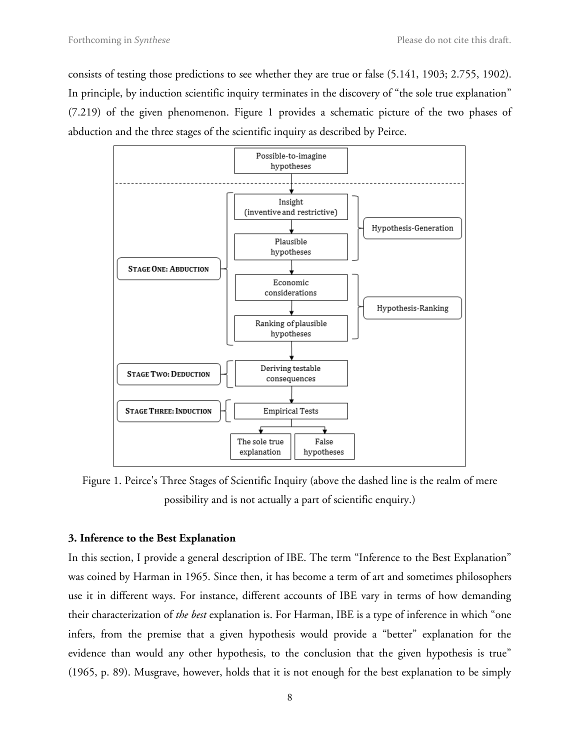consists of testing those predictions to see whether they are true or false (5.141, 1903; 2.755, 1902). In principle, by induction scientific inquiry terminates in the discovery of "the sole true explanation" (7.219) of the given phenomenon. Figure 1 provides a schematic picture of the two phases of abduction and the three stages of the scientific inquiry as described by Peirce.



Figure 1. Peirce's Three Stages of Scientific Inquiry (above the dashed line is the realm of mere possibility and is not actually a part of scientific enquiry.)

## **3. Inference to the Best Explanation**

In this section, I provide a general description of IBE. The term "Inference to the Best Explanation" was coined by Harman in 1965. Since then, it has become a term of art and sometimes philosophers use it in different ways. For instance, different accounts of IBE vary in terms of how demanding their characterization of *the best* explanation is. For Harman, IBE is a type of inference in which "one infers, from the premise that a given hypothesis would provide a "better" explanation for the evidence than would any other hypothesis, to the conclusion that the given hypothesis is true" (1965, p. 89). Musgrave, however, holds that it is not enough for the best explanation to be simply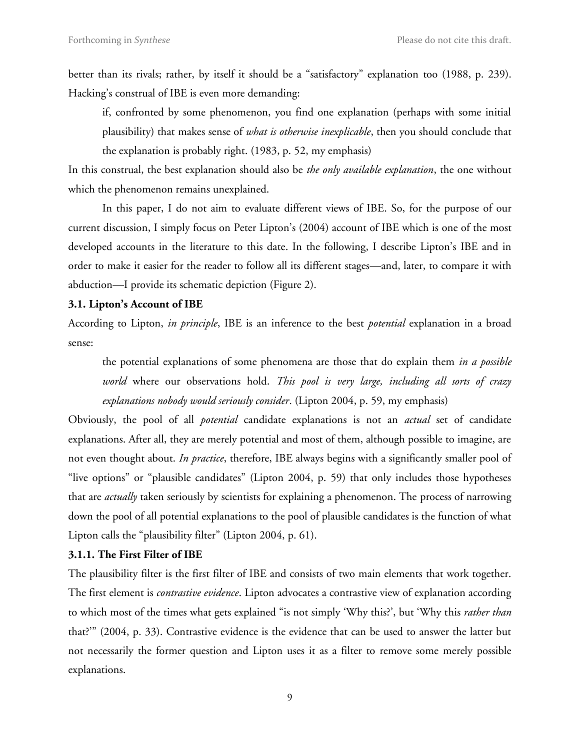better than its rivals; rather, by itself it should be a "satisfactory" explanation too (1988, p. 239). Hacking's construal of IBE is even more demanding:

if, confronted by some phenomenon, you find one explanation (perhaps with some initial plausibility) that makes sense of *what is otherwise inexplicable*, then you should conclude that the explanation is probably right. (1983, p. 52, my emphasis)

In this construal, the best explanation should also be *the only available explanation*, the one without which the phenomenon remains unexplained.

In this paper, I do not aim to evaluate different views of IBE. So, for the purpose of our current discussion, I simply focus on Peter Lipton's (2004) account of IBE which is one of the most developed accounts in the literature to this date. In the following, I describe Lipton's IBE and in order to make it easier for the reader to follow all its different stages—and, later, to compare it with abduction—I provide its schematic depiction (Figure 2).

### **3.1. Lipton's Account of IBE**

According to Lipton, *in principle*, IBE is an inference to the best *potential* explanation in a broad sense:

the potential explanations of some phenomena are those that do explain them *in a possible world* where our observations hold. *This pool is very large, including all sorts of crazy explanations nobody would seriously consider*. (Lipton 2004, p. 59, my emphasis)

Obviously, the pool of all *potential* candidate explanations is not an *actual* set of candidate explanations. After all, they are merely potential and most of them, although possible to imagine, are not even thought about. *In practice*, therefore, IBE always begins with a significantly smaller pool of "live options" or "plausible candidates" (Lipton 2004, p. 59) that only includes those hypotheses that are *actually* taken seriously by scientists for explaining a phenomenon. The process of narrowing down the pool of all potential explanations to the pool of plausible candidates is the function of what Lipton calls the "plausibility filter" (Lipton 2004, p. 61).

### **3.1.1. The First Filter of IBE**

The plausibility filter is the first filter of IBE and consists of two main elements that work together. The first element is *contrastive evidence*. Lipton advocates a contrastive view of explanation according to which most of the times what gets explained "is not simply 'Why this?', but 'Why this *rather than* that?'" (2004, p. 33). Contrastive evidence is the evidence that can be used to answer the latter but not necessarily the former question and Lipton uses it as a filter to remove some merely possible explanations.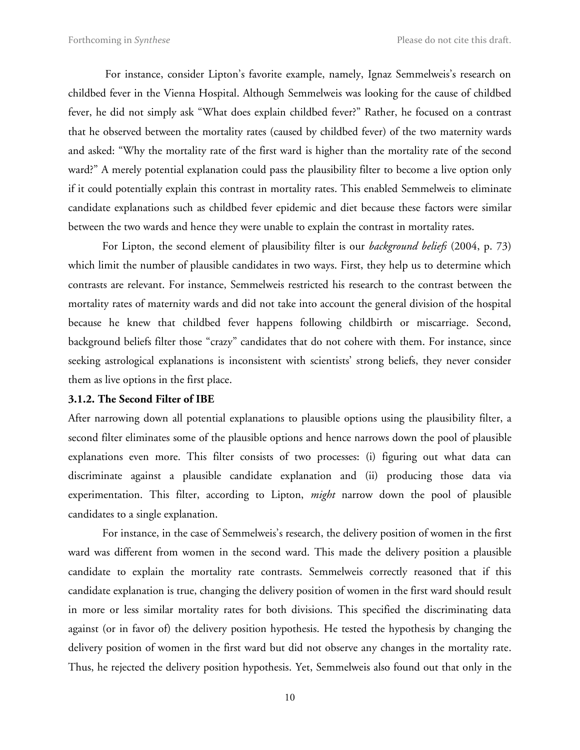For instance, consider Lipton's favorite example, namely, Ignaz Semmelweis's research on childbed fever in the Vienna Hospital. Although Semmelweis was looking for the cause of childbed fever, he did not simply ask "What does explain childbed fever?" Rather, he focused on a contrast that he observed between the mortality rates (caused by childbed fever) of the two maternity wards and asked: "Why the mortality rate of the first ward is higher than the mortality rate of the second ward?" A merely potential explanation could pass the plausibility filter to become a live option only if it could potentially explain this contrast in mortality rates. This enabled Semmelweis to eliminate candidate explanations such as childbed fever epidemic and diet because these factors were similar between the two wards and hence they were unable to explain the contrast in mortality rates.

For Lipton, the second element of plausibility filter is our *background beliefs* (2004, p. 73) which limit the number of plausible candidates in two ways. First, they help us to determine which contrasts are relevant. For instance, Semmelweis restricted his research to the contrast between the mortality rates of maternity wards and did not take into account the general division of the hospital because he knew that childbed fever happens following childbirth or miscarriage. Second, background beliefs filter those "crazy" candidates that do not cohere with them. For instance, since seeking astrological explanations is inconsistent with scientists' strong beliefs, they never consider them as live options in the first place.

### **3.1.2. The Second Filter of IBE**

After narrowing down all potential explanations to plausible options using the plausibility filter, a second filter eliminates some of the plausible options and hence narrows down the pool of plausible explanations even more. This filter consists of two processes: (i) figuring out what data can discriminate against a plausible candidate explanation and (ii) producing those data via experimentation. This filter, according to Lipton, *might* narrow down the pool of plausible candidates to a single explanation.

For instance, in the case of Semmelweis's research, the delivery position of women in the first ward was different from women in the second ward. This made the delivery position a plausible candidate to explain the mortality rate contrasts. Semmelweis correctly reasoned that if this candidate explanation is true, changing the delivery position of women in the first ward should result in more or less similar mortality rates for both divisions. This specified the discriminating data against (or in favor of) the delivery position hypothesis. He tested the hypothesis by changing the delivery position of women in the first ward but did not observe any changes in the mortality rate. Thus, he rejected the delivery position hypothesis. Yet, Semmelweis also found out that only in the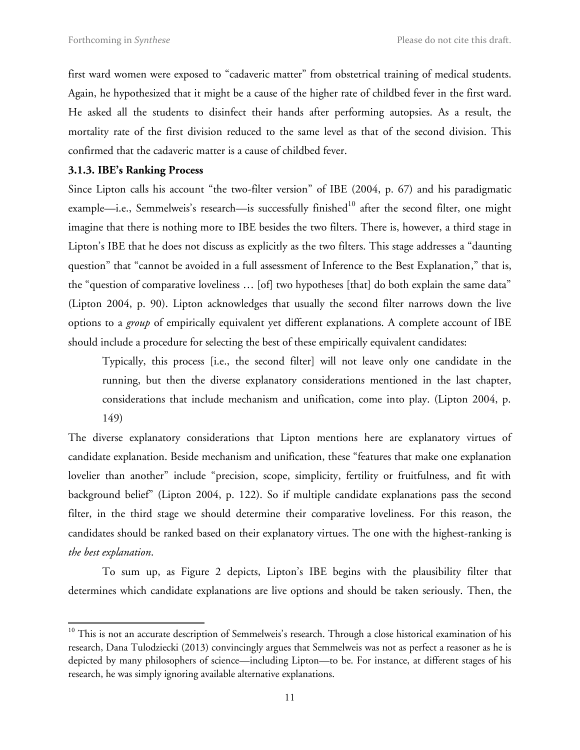first ward women were exposed to "cadaveric matter" from obstetrical training of medical students. Again, he hypothesized that it might be a cause of the higher rate of childbed fever in the first ward. He asked all the students to disinfect their hands after performing autopsies. As a result, the mortality rate of the first division reduced to the same level as that of the second division. This confirmed that the cadaveric matter is a cause of childbed fever.

## **3.1.3. IBE's Ranking Process**

l

Since Lipton calls his account "the two-filter version" of IBE (2004, p. 67) and his paradigmatic example—i.e., Semmelweis's research—is successfully finished<sup>10</sup> after the second filter, one might imagine that there is nothing more to IBE besides the two filters. There is, however, a third stage in Lipton's IBE that he does not discuss as explicitly as the two filters. This stage addresses a "daunting question" that "cannot be avoided in a full assessment of Inference to the Best Explanation," that is, the "question of comparative loveliness … [of] two hypotheses [that] do both explain the same data" (Lipton 2004, p. 90). Lipton acknowledges that usually the second filter narrows down the live options to a *group* of empirically equivalent yet different explanations. A complete account of IBE should include a procedure for selecting the best of these empirically equivalent candidates:

Typically, this process [i.e., the second filter] will not leave only one candidate in the running, but then the diverse explanatory considerations mentioned in the last chapter, considerations that include mechanism and unification, come into play. (Lipton 2004, p. 149)

The diverse explanatory considerations that Lipton mentions here are explanatory virtues of candidate explanation. Beside mechanism and unification, these "features that make one explanation lovelier than another" include "precision, scope, simplicity, fertility or fruitfulness, and fit with background belief" (Lipton 2004, p. 122). So if multiple candidate explanations pass the second filter, in the third stage we should determine their comparative loveliness. For this reason, the candidates should be ranked based on their explanatory virtues. The one with the highest-ranking is *the best explanation*.

To sum up, as Figure 2 depicts, Lipton's IBE begins with the plausibility filter that determines which candidate explanations are live options and should be taken seriously. Then, the

<sup>&</sup>lt;sup>10</sup> This is not an accurate description of Semmelweis's research. Through a close historical examination of his research, Dana Tulodziecki (2013) convincingly argues that Semmelweis was not as perfect a reasoner as he is depicted by many philosophers of science—including Lipton—to be. For instance, at different stages of his research, he was simply ignoring available alternative explanations.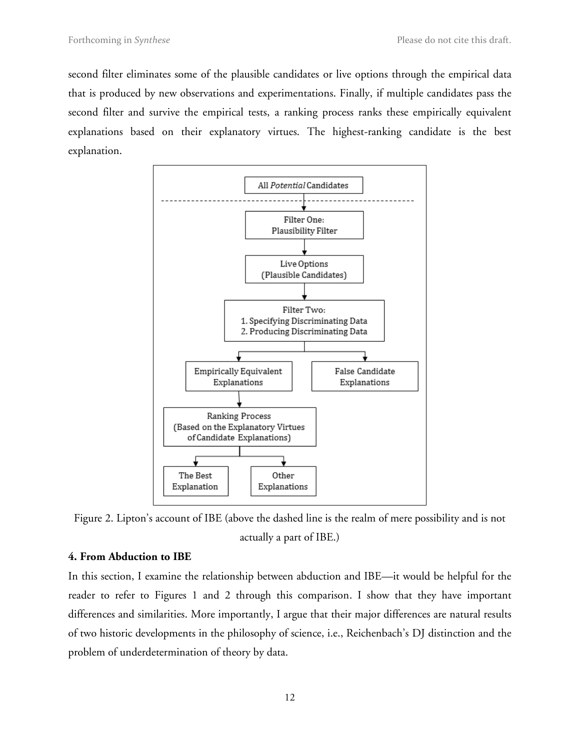second filter eliminates some of the plausible candidates or live options through the empirical data that is produced by new observations and experimentations. Finally, if multiple candidates pass the second filter and survive the empirical tests, a ranking process ranks these empirically equivalent explanations based on their explanatory virtues. The highest-ranking candidate is the best explanation.



Figure 2. Lipton's account of IBE (above the dashed line is the realm of mere possibility and is not actually a part of IBE.)

## **4. From Abduction to IBE**

In this section, I examine the relationship between abduction and IBE—it would be helpful for the reader to refer to Figures 1 and 2 through this comparison. I show that they have important differences and similarities. More importantly, I argue that their major differences are natural results of two historic developments in the philosophy of science, i.e., Reichenbach's DJ distinction and the problem of underdetermination of theory by data.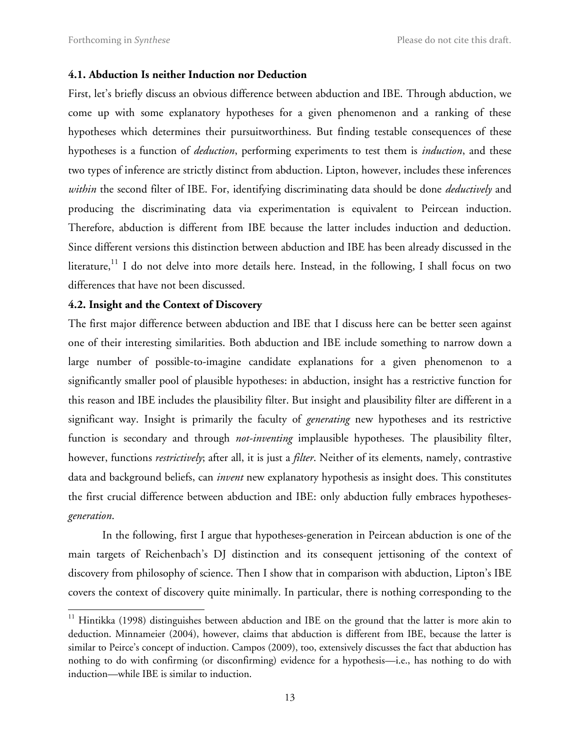### **4.1. Abduction Is neither Induction nor Deduction**

First, let's briefly discuss an obvious difference between abduction and IBE. Through abduction, we come up with some explanatory hypotheses for a given phenomenon and a ranking of these hypotheses which determines their pursuitworthiness. But finding testable consequences of these hypotheses is a function of *deduction*, performing experiments to test them is *induction*, and these two types of inference are strictly distinct from abduction. Lipton, however, includes these inferences *within* the second filter of IBE. For, identifying discriminating data should be done *deductively* and producing the discriminating data via experimentation is equivalent to Peircean induction. Therefore, abduction is different from IBE because the latter includes induction and deduction. Since different versions this distinction between abduction and IBE has been already discussed in the literature,<sup>11</sup> I do not delve into more details here. Instead, in the following, I shall focus on two differences that have not been discussed.

#### **4.2. Insight and the Context of Discovery**

 $\overline{\phantom{a}}$ 

The first major difference between abduction and IBE that I discuss here can be better seen against one of their interesting similarities. Both abduction and IBE include something to narrow down a large number of possible-to-imagine candidate explanations for a given phenomenon to a significantly smaller pool of plausible hypotheses: in abduction, insight has a restrictive function for this reason and IBE includes the plausibility filter. But insight and plausibility filter are different in a significant way. Insight is primarily the faculty of *generating* new hypotheses and its restrictive function is secondary and through *not-inventing* implausible hypotheses. The plausibility filter, however, functions *restrictively*; after all, it is just a *filter*. Neither of its elements, namely, contrastive data and background beliefs, can *invent* new explanatory hypothesis as insight does. This constitutes the first crucial difference between abduction and IBE: only abduction fully embraces hypotheses*generation*.

In the following, first I argue that hypotheses-generation in Peircean abduction is one of the main targets of Reichenbach's DJ distinction and its consequent jettisoning of the context of discovery from philosophy of science. Then I show that in comparison with abduction, Lipton's IBE covers the context of discovery quite minimally. In particular, there is nothing corresponding to the

<sup>&</sup>lt;sup>11</sup> Hintikka (1998) distinguishes between abduction and IBE on the ground that the latter is more akin to deduction. Minnameier (2004), however, claims that abduction is different from IBE, because the latter is similar to Peirce's concept of induction. Campos (2009), too, extensively discusses the fact that abduction has nothing to do with confirming (or disconfirming) evidence for a hypothesis—i.e., has nothing to do with induction—while IBE is similar to induction.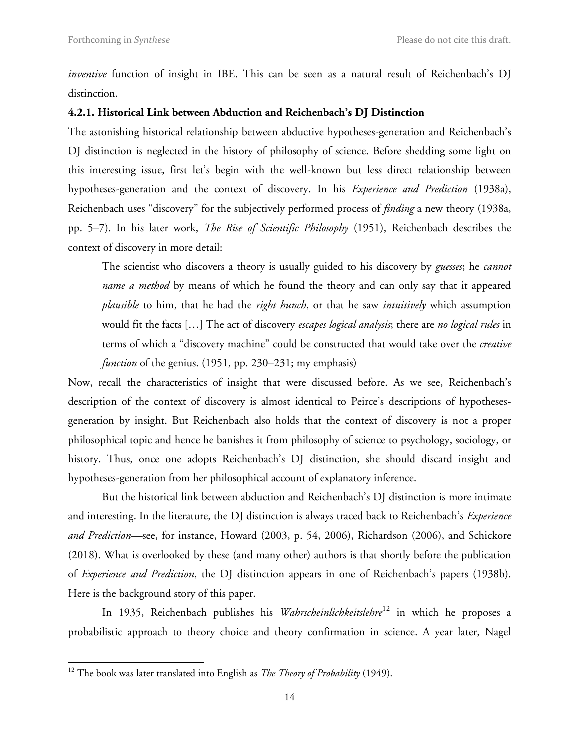*inventive* function of insight in IBE. This can be seen as a natural result of Reichenbach's DJ distinction.

### **4.2.1. Historical Link between Abduction and Reichenbach's DJ Distinction**

The astonishing historical relationship between abductive hypotheses-generation and Reichenbach's DJ distinction is neglected in the history of philosophy of science. Before shedding some light on this interesting issue, first let's begin with the well-known but less direct relationship between hypotheses-generation and the context of discovery. In his *Experience and Prediction* (1938a), Reichenbach uses "discovery" for the subjectively performed process of *finding* a new theory (1938a, pp. 5–7). In his later work, *The Rise of Scientific Philosophy* (1951), Reichenbach describes the context of discovery in more detail:

The scientist who discovers a theory is usually guided to his discovery by *guesses*; he *cannot name a method* by means of which he found the theory and can only say that it appeared *plausible* to him, that he had the *right hunch*, or that he saw *intuitively* which assumption would fit the facts […] The act of discovery *escapes logical analysis*; there are *no logical rules* in terms of which a "discovery machine" could be constructed that would take over the *creative function* of the genius. (1951, pp. 230–231; my emphasis)

Now, recall the characteristics of insight that were discussed before. As we see, Reichenbach's description of the context of discovery is almost identical to Peirce's descriptions of hypothesesgeneration by insight. But Reichenbach also holds that the context of discovery is not a proper philosophical topic and hence he banishes it from philosophy of science to psychology, sociology, or history. Thus, once one adopts Reichenbach's DJ distinction, she should discard insight and hypotheses-generation from her philosophical account of explanatory inference.

But the historical link between abduction and Reichenbach's DJ distinction is more intimate and interesting. In the literature, the DJ distinction is always traced back to Reichenbach's *Experience and Prediction—*see, for instance, Howard (2003, p. 54, 2006), Richardson (2006), and Schickore (2018). What is overlooked by these (and many other) authors is that shortly before the publication of *Experience and Prediction*, the DJ distinction appears in one of Reichenbach's papers (1938b). Here is the background story of this paper.

In 1935, Reichenbach publishes his *Wahrscheinlichkeitslehre*<sup>12</sup> in which he proposes a probabilistic approach to theory choice and theory confirmation in science. A year later, Nagel

 $\overline{\phantom{a}}$ 

<sup>12</sup> The book was later translated into English as *The Theory of Probability* (1949).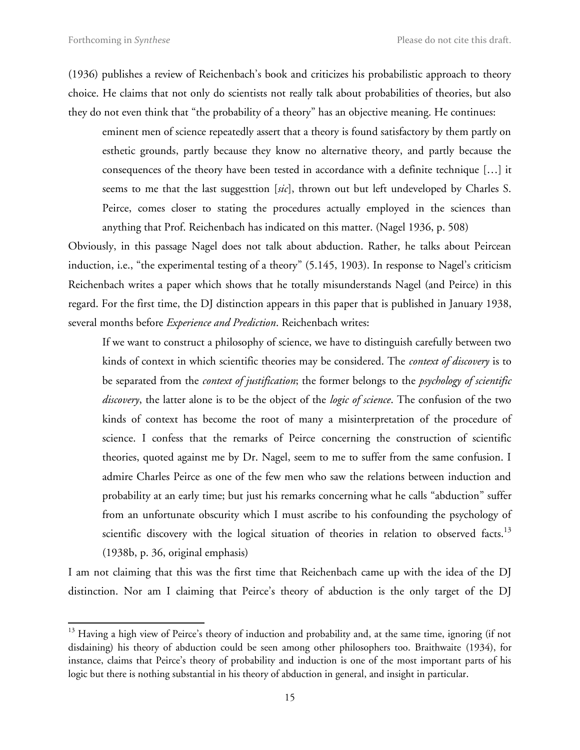l

(1936) publishes a review of Reichenbach's book and criticizes his probabilistic approach to theory choice. He claims that not only do scientists not really talk about probabilities of theories, but also they do not even think that "the probability of a theory" has an objective meaning. He continues:

eminent men of science repeatedly assert that a theory is found satisfactory by them partly on esthetic grounds, partly because they know no alternative theory, and partly because the consequences of the theory have been tested in accordance with a definite technique […] it seems to me that the last suggesttion [*sic*], thrown out but left undeveloped by Charles S. Peirce, comes closer to stating the procedures actually employed in the sciences than anything that Prof. Reichenbach has indicated on this matter. (Nagel 1936, p. 508)

Obviously, in this passage Nagel does not talk about abduction. Rather, he talks about Peircean induction, i.e., "the experimental testing of a theory" (5.145, 1903). In response to Nagel's criticism Reichenbach writes a paper which shows that he totally misunderstands Nagel (and Peirce) in this regard. For the first time, the DJ distinction appears in this paper that is published in January 1938, several months before *Experience and Prediction*. Reichenbach writes:

If we want to construct a philosophy of science, we have to distinguish carefully between two kinds of context in which scientific theories may be considered. The *context of discovery* is to be separated from the *context of justification*; the former belongs to the *psychology of scientific discovery*, the latter alone is to be the object of the *logic of science*. The confusion of the two kinds of context has become the root of many a misinterpretation of the procedure of science. I confess that the remarks of Peirce concerning the construction of scientific theories, quoted against me by Dr. Nagel, seem to me to suffer from the same confusion. I admire Charles Peirce as one of the few men who saw the relations between induction and probability at an early time; but just his remarks concerning what he calls "abduction" suffer from an unfortunate obscurity which I must ascribe to his confounding the psychology of scientific discovery with the logical situation of theories in relation to observed facts.<sup>13</sup> (1938b, p. 36, original emphasis)

I am not claiming that this was the first time that Reichenbach came up with the idea of the DJ distinction. Nor am I claiming that Peirce's theory of abduction is the only target of the DJ

<sup>&</sup>lt;sup>13</sup> Having a high view of Peirce's theory of induction and probability and, at the same time, ignoring (if not disdaining) his theory of abduction could be seen among other philosophers too. Braithwaite (1934), for instance, claims that Peirce's theory of probability and induction is one of the most important parts of his logic but there is nothing substantial in his theory of abduction in general, and insight in particular.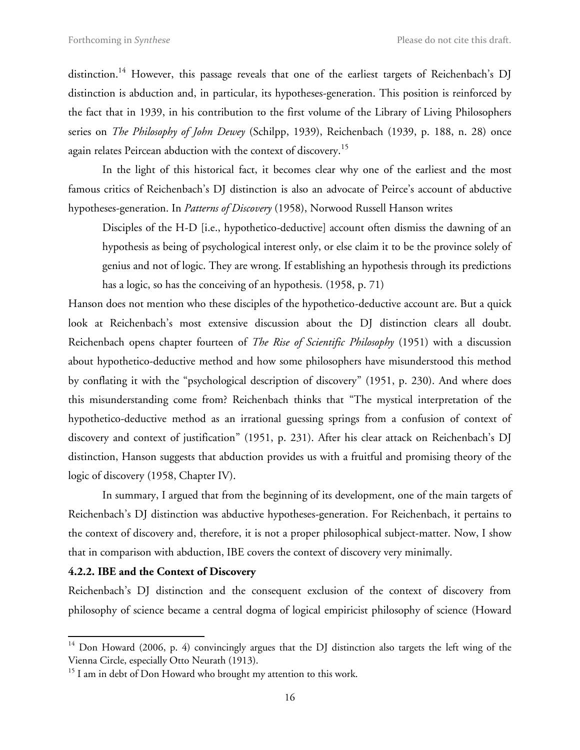distinction.<sup>14</sup> However, this passage reveals that one of the earliest targets of Reichenbach's DJ distinction is abduction and, in particular, its hypotheses-generation. This position is reinforced by the fact that in 1939, in his contribution to the first volume of the Library of Living Philosophers series on *The Philosophy of John Dewey* (Schilpp, 1939), Reichenbach (1939, p. 188, n. 28) once again relates Peircean abduction with the context of discovery.<sup>15</sup>

In the light of this historical fact, it becomes clear why one of the earliest and the most famous critics of Reichenbach's DJ distinction is also an advocate of Peirce's account of abductive hypotheses-generation. In *Patterns of Discovery* (1958), Norwood Russell Hanson writes

Disciples of the H-D [i.e., hypothetico-deductive] account often dismiss the dawning of an hypothesis as being of psychological interest only, or else claim it to be the province solely of genius and not of logic. They are wrong. If establishing an hypothesis through its predictions has a logic, so has the conceiving of an hypothesis. (1958, p. 71)

Hanson does not mention who these disciples of the hypothetico-deductive account are. But a quick look at Reichenbach's most extensive discussion about the DJ distinction clears all doubt. Reichenbach opens chapter fourteen of *The Rise of Scientific Philosophy* (1951) with a discussion about hypothetico-deductive method and how some philosophers have misunderstood this method by conflating it with the "psychological description of discovery" (1951, p. 230). And where does this misunderstanding come from? Reichenbach thinks that "The mystical interpretation of the hypothetico-deductive method as an irrational guessing springs from a confusion of context of discovery and context of justification" (1951, p. 231). After his clear attack on Reichenbach's DJ distinction, Hanson suggests that abduction provides us with a fruitful and promising theory of the logic of discovery (1958, Chapter IV).

In summary, I argued that from the beginning of its development, one of the main targets of Reichenbach's DJ distinction was abductive hypotheses-generation. For Reichenbach, it pertains to the context of discovery and, therefore, it is not a proper philosophical subject-matter. Now, I show that in comparison with abduction, IBE covers the context of discovery very minimally.

### **4.2.2. IBE and the Context of Discovery**

 $\overline{a}$ 

Reichenbach's DJ distinction and the consequent exclusion of the context of discovery from philosophy of science became a central dogma of logical empiricist philosophy of science (Howard

<sup>&</sup>lt;sup>14</sup> Don Howard (2006, p. 4) convincingly argues that the DJ distinction also targets the left wing of the Vienna Circle, especially Otto Neurath (1913).

 $15$  I am in debt of Don Howard who brought my attention to this work.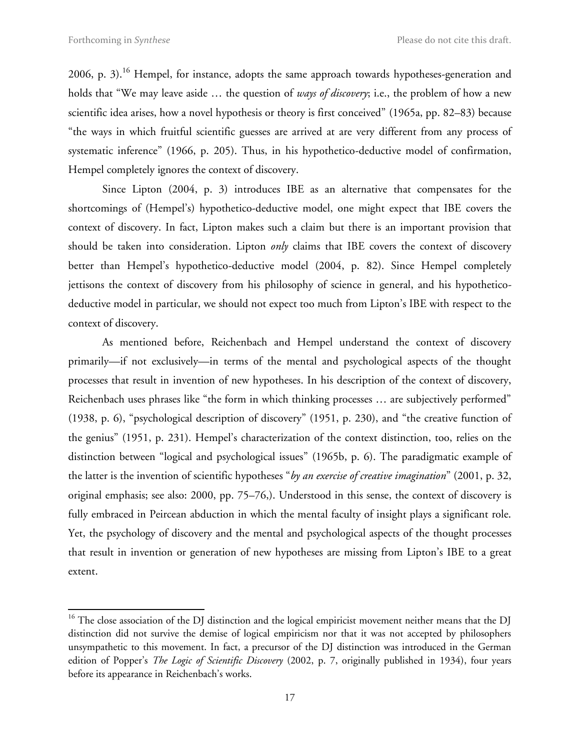$\overline{\phantom{a}}$ 

2006, p. 3).<sup>16</sup> Hempel, for instance, adopts the same approach towards hypotheses-generation and holds that "We may leave aside … the question of *ways of discovery*; i.e., the problem of how a new scientific idea arises, how a novel hypothesis or theory is first conceived" (1965a, pp. 82–83) because "the ways in which fruitful scientific guesses are arrived at are very different from any process of systematic inference" (1966, p. 205). Thus, in his hypothetico-deductive model of confirmation, Hempel completely ignores the context of discovery.

Since Lipton (2004, p. 3) introduces IBE as an alternative that compensates for the shortcomings of (Hempel's) hypothetico-deductive model, one might expect that IBE covers the context of discovery. In fact, Lipton makes such a claim but there is an important provision that should be taken into consideration. Lipton *only* claims that IBE covers the context of discovery better than Hempel's hypothetico-deductive model (2004, p. 82). Since Hempel completely jettisons the context of discovery from his philosophy of science in general, and his hypotheticodeductive model in particular, we should not expect too much from Lipton's IBE with respect to the context of discovery.

As mentioned before, Reichenbach and Hempel understand the context of discovery primarily—if not exclusively—in terms of the mental and psychological aspects of the thought processes that result in invention of new hypotheses. In his description of the context of discovery, Reichenbach uses phrases like "the form in which thinking processes … are subjectively performed" (1938, p. 6), "psychological description of discovery" (1951, p. 230), and "the creative function of the genius" (1951, p. 231). Hempel's characterization of the context distinction, too, relies on the distinction between "logical and psychological issues" (1965b, p. 6). The paradigmatic example of the latter is the invention of scientific hypotheses "*by an exercise of creative imagination*" (2001, p. 32, original emphasis; see also: 2000, pp. 75–76,). Understood in this sense, the context of discovery is fully embraced in Peircean abduction in which the mental faculty of insight plays a significant role. Yet, the psychology of discovery and the mental and psychological aspects of the thought processes that result in invention or generation of new hypotheses are missing from Lipton's IBE to a great extent.

<sup>&</sup>lt;sup>16</sup> The close association of the DJ distinction and the logical empiricist movement neither means that the DJ distinction did not survive the demise of logical empiricism nor that it was not accepted by philosophers unsympathetic to this movement. In fact, a precursor of the DJ distinction was introduced in the German edition of Popper's *The Logic of Scientific Discovery* (2002, p. 7, originally published in 1934), four years before its appearance in Reichenbach's works.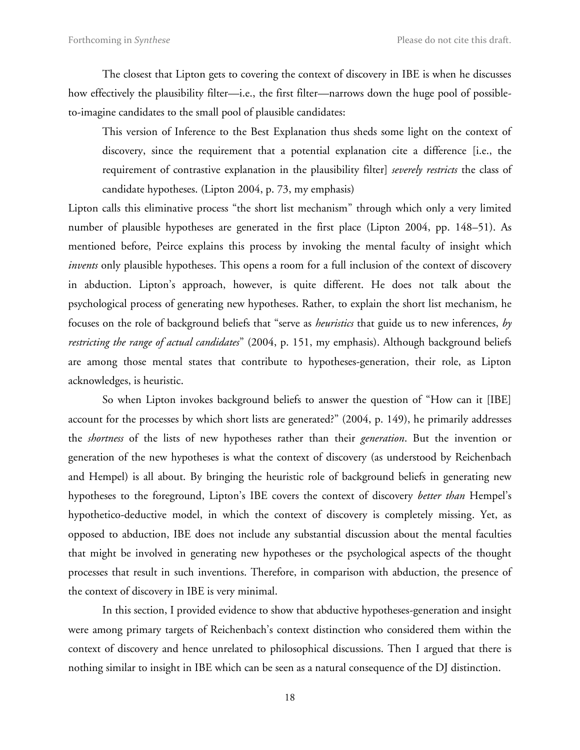The closest that Lipton gets to covering the context of discovery in IBE is when he discusses how effectively the plausibility filter—i.e., the first filter—narrows down the huge pool of possibleto-imagine candidates to the small pool of plausible candidates:

This version of Inference to the Best Explanation thus sheds some light on the context of discovery, since the requirement that a potential explanation cite a difference [i.e., the requirement of contrastive explanation in the plausibility filter] *severely restricts* the class of candidate hypotheses. (Lipton 2004, p. 73, my emphasis)

Lipton calls this eliminative process "the short list mechanism" through which only a very limited number of plausible hypotheses are generated in the first place (Lipton 2004, pp. 148–51). As mentioned before, Peirce explains this process by invoking the mental faculty of insight which *invents* only plausible hypotheses. This opens a room for a full inclusion of the context of discovery in abduction. Lipton's approach, however, is quite different. He does not talk about the psychological process of generating new hypotheses. Rather, to explain the short list mechanism, he focuses on the role of background beliefs that "serve as *heuristics* that guide us to new inferences, *by restricting the range of actual candidates*" (2004, p. 151, my emphasis). Although background beliefs are among those mental states that contribute to hypotheses-generation, their role, as Lipton acknowledges, is heuristic.

So when Lipton invokes background beliefs to answer the question of "How can it [IBE] account for the processes by which short lists are generated?" (2004, p. 149), he primarily addresses the *shortness* of the lists of new hypotheses rather than their *generation*. But the invention or generation of the new hypotheses is what the context of discovery (as understood by Reichenbach and Hempel) is all about. By bringing the heuristic role of background beliefs in generating new hypotheses to the foreground, Lipton's IBE covers the context of discovery *better than* Hempel's hypothetico-deductive model, in which the context of discovery is completely missing. Yet, as opposed to abduction, IBE does not include any substantial discussion about the mental faculties that might be involved in generating new hypotheses or the psychological aspects of the thought processes that result in such inventions. Therefore, in comparison with abduction, the presence of the context of discovery in IBE is very minimal.

In this section, I provided evidence to show that abductive hypotheses-generation and insight were among primary targets of Reichenbach's context distinction who considered them within the context of discovery and hence unrelated to philosophical discussions. Then I argued that there is nothing similar to insight in IBE which can be seen as a natural consequence of the DJ distinction.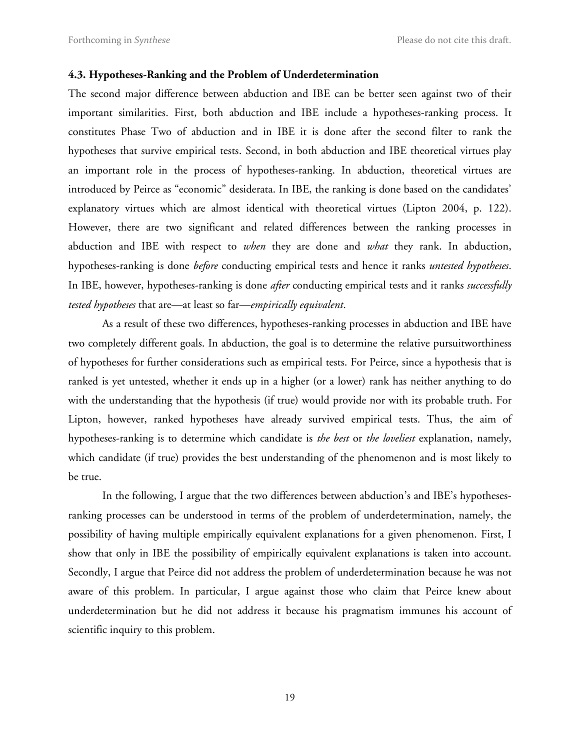### **4.3. Hypotheses-Ranking and the Problem of Underdetermination**

The second major difference between abduction and IBE can be better seen against two of their important similarities. First, both abduction and IBE include a hypotheses-ranking process. It constitutes Phase Two of abduction and in IBE it is done after the second filter to rank the hypotheses that survive empirical tests. Second, in both abduction and IBE theoretical virtues play an important role in the process of hypotheses-ranking. In abduction, theoretical virtues are introduced by Peirce as "economic" desiderata. In IBE, the ranking is done based on the candidates' explanatory virtues which are almost identical with theoretical virtues (Lipton 2004, p. 122). However, there are two significant and related differences between the ranking processes in abduction and IBE with respect to *when* they are done and *what* they rank. In abduction, hypotheses-ranking is done *before* conducting empirical tests and hence it ranks *untested hypotheses*. In IBE, however, hypotheses-ranking is done *after* conducting empirical tests and it ranks *successfully tested hypotheses* that are—at least so far—*empirically equivalent*.

As a result of these two differences, hypotheses-ranking processes in abduction and IBE have two completely different goals. In abduction, the goal is to determine the relative pursuitworthiness of hypotheses for further considerations such as empirical tests. For Peirce, since a hypothesis that is ranked is yet untested, whether it ends up in a higher (or a lower) rank has neither anything to do with the understanding that the hypothesis (if true) would provide nor with its probable truth. For Lipton, however, ranked hypotheses have already survived empirical tests. Thus, the aim of hypotheses-ranking is to determine which candidate is *the best* or *the loveliest* explanation, namely, which candidate (if true) provides the best understanding of the phenomenon and is most likely to be true.

In the following, I argue that the two differences between abduction's and IBE's hypothesesranking processes can be understood in terms of the problem of underdetermination, namely, the possibility of having multiple empirically equivalent explanations for a given phenomenon. First, I show that only in IBE the possibility of empirically equivalent explanations is taken into account. Secondly, I argue that Peirce did not address the problem of underdetermination because he was not aware of this problem. In particular, I argue against those who claim that Peirce knew about underdetermination but he did not address it because his pragmatism immunes his account of scientific inquiry to this problem.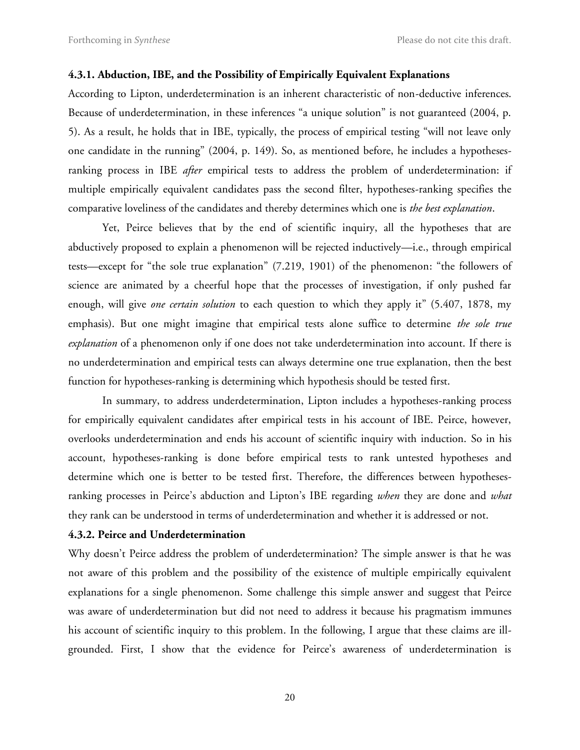#### **4.3.1. Abduction, IBE, and the Possibility of Empirically Equivalent Explanations**

According to Lipton, underdetermination is an inherent characteristic of non-deductive inferences. Because of underdetermination, in these inferences "a unique solution" is not guaranteed (2004, p. 5). As a result, he holds that in IBE, typically, the process of empirical testing "will not leave only one candidate in the running" (2004, p. 149). So, as mentioned before, he includes a hypothesesranking process in IBE *after* empirical tests to address the problem of underdetermination: if multiple empirically equivalent candidates pass the second filter, hypotheses-ranking specifies the comparative loveliness of the candidates and thereby determines which one is *the best explanation*.

Yet, Peirce believes that by the end of scientific inquiry, all the hypotheses that are abductively proposed to explain a phenomenon will be rejected inductively—i.e., through empirical tests—except for "the sole true explanation" (7.219, 1901) of the phenomenon: "the followers of science are animated by a cheerful hope that the processes of investigation, if only pushed far enough, will give *one certain solution* to each question to which they apply it" (5.407, 1878, my emphasis). But one might imagine that empirical tests alone suffice to determine *the sole true explanation* of a phenomenon only if one does not take underdetermination into account. If there is no underdetermination and empirical tests can always determine one true explanation, then the best function for hypotheses-ranking is determining which hypothesis should be tested first.

In summary, to address underdetermination, Lipton includes a hypotheses-ranking process for empirically equivalent candidates after empirical tests in his account of IBE. Peirce, however, overlooks underdetermination and ends his account of scientific inquiry with induction. So in his account, hypotheses-ranking is done before empirical tests to rank untested hypotheses and determine which one is better to be tested first. Therefore, the differences between hypothesesranking processes in Peirce's abduction and Lipton's IBE regarding *when* they are done and *what* they rank can be understood in terms of underdetermination and whether it is addressed or not.

#### **4.3.2. Peirce and Underdetermination**

Why doesn't Peirce address the problem of underdetermination? The simple answer is that he was not aware of this problem and the possibility of the existence of multiple empirically equivalent explanations for a single phenomenon. Some challenge this simple answer and suggest that Peirce was aware of underdetermination but did not need to address it because his pragmatism immunes his account of scientific inquiry to this problem. In the following, I argue that these claims are illgrounded. First, I show that the evidence for Peirce's awareness of underdetermination is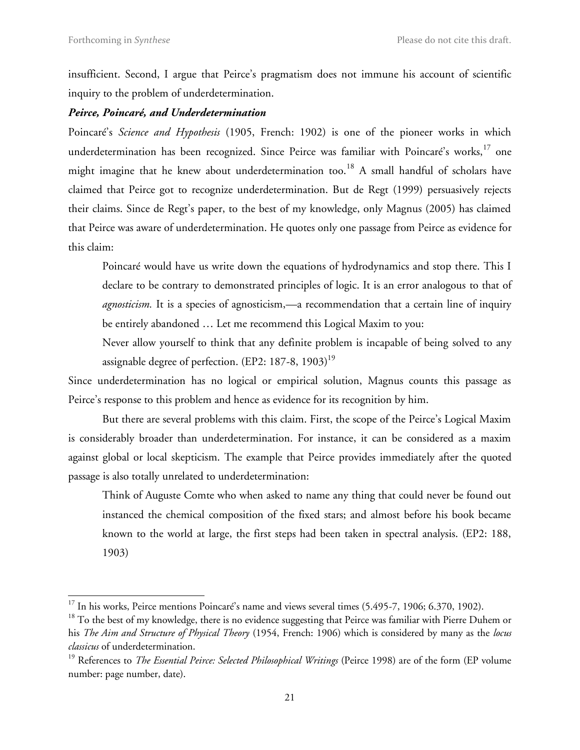$\overline{a}$ 

insufficient. Second, I argue that Peirce's pragmatism does not immune his account of scientific inquiry to the problem of underdetermination.

## *Peirce, Poincaré, and Underdetermination*

Poincaré's *Science and Hypothesis* (1905, French: 1902) is one of the pioneer works in which underdetermination has been recognized. Since Peirce was familiar with Poincaré's works,  $^{17}$  one might imagine that he knew about underdetermination too.<sup>18</sup> A small handful of scholars have claimed that Peirce got to recognize underdetermination. But de Regt (1999) persuasively rejects their claims. Since de Regt's paper, to the best of my knowledge, only Magnus (2005) has claimed that Peirce was aware of underdetermination. He quotes only one passage from Peirce as evidence for this claim:

Poincaré would have us write down the equations of hydrodynamics and stop there. This I declare to be contrary to demonstrated principles of logic. It is an error analogous to that of *agnosticism.* It is a species of agnosticism,—a recommendation that a certain line of inquiry be entirely abandoned … Let me recommend this Logical Maxim to you:

Never allow yourself to think that any definite problem is incapable of being solved to any assignable degree of perfection.  $(EP2: 187-8, 1903)^{19}$ 

Since underdetermination has no logical or empirical solution, Magnus counts this passage as Peirce's response to this problem and hence as evidence for its recognition by him.

But there are several problems with this claim. First, the scope of the Peirce's Logical Maxim is considerably broader than underdetermination. For instance, it can be considered as a maxim against global or local skepticism. The example that Peirce provides immediately after the quoted passage is also totally unrelated to underdetermination:

Think of Auguste Comte who when asked to name any thing that could never be found out instanced the chemical composition of the fixed stars; and almost before his book became known to the world at large, the first steps had been taken in spectral analysis. (EP2: 188, 1903)

 $^{17}$  In his works, Peirce mentions Poincaré's name and views several times (5.495-7, 1906; 6.370, 1902).

<sup>&</sup>lt;sup>18</sup> To the best of my knowledge, there is no evidence suggesting that Peirce was familiar with Pierre Duhem or his *The Aim and Structure of Physical Theory* (1954, French: 1906) which is considered by many as the *locus classicus* of underdetermination.

<sup>&</sup>lt;sup>19</sup> References to *The Essential Peirce: Selected Philosophical Writings* (Peirce 1998) are of the form (EP volume number: page number, date).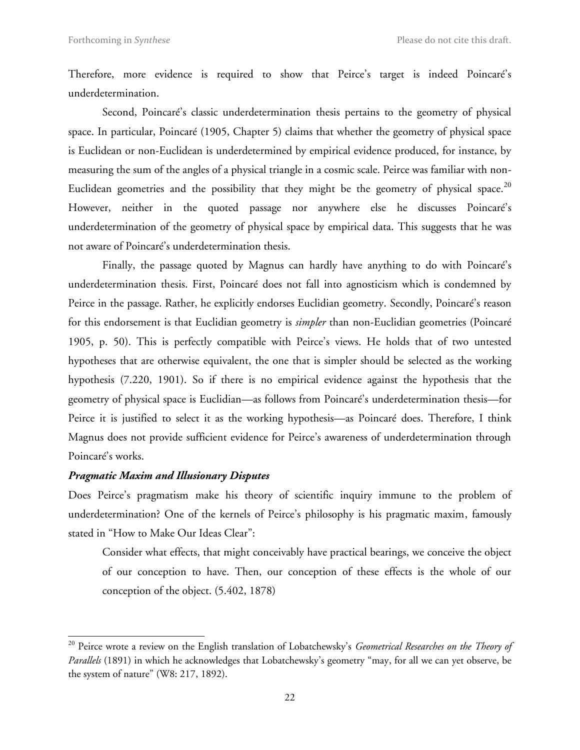Therefore, more evidence is required to show that Peirce's target is indeed Poincaré's underdetermination.

Second, Poincaré's classic underdetermination thesis pertains to the geometry of physical space. In particular, Poincaré (1905, Chapter 5) claims that whether the geometry of physical space is Euclidean or non-Euclidean is underdetermined by empirical evidence produced, for instance, by measuring the sum of the angles of a physical triangle in a cosmic scale. Peirce was familiar with non-Euclidean geometries and the possibility that they might be the geometry of physical space.<sup>20</sup> However, neither in the quoted passage nor anywhere else he discusses Poincaré's underdetermination of the geometry of physical space by empirical data. This suggests that he was not aware of Poincaré's underdetermination thesis.

Finally, the passage quoted by Magnus can hardly have anything to do with Poincaré's underdetermination thesis. First, Poincaré does not fall into agnosticism which is condemned by Peirce in the passage. Rather, he explicitly endorses Euclidian geometry. Secondly, Poincaré's reason for this endorsement is that Euclidian geometry is *simpler* than non-Euclidian geometries (Poincaré 1905, p. 50). This is perfectly compatible with Peirce's views. He holds that of two untested hypotheses that are otherwise equivalent, the one that is simpler should be selected as the working hypothesis (7.220, 1901). So if there is no empirical evidence against the hypothesis that the geometry of physical space is Euclidian—as follows from Poincaré's underdetermination thesis—for Peirce it is justified to select it as the working hypothesis—as Poincaré does. Therefore, I think Magnus does not provide sufficient evidence for Peirce's awareness of underdetermination through Poincaré's works.

### *Pragmatic Maxim and Illusionary Disputes*

 $\overline{a}$ 

Does Peirce's pragmatism make his theory of scientific inquiry immune to the problem of underdetermination? One of the kernels of Peirce's philosophy is his pragmatic maxim, famously stated in "How to Make Our Ideas Clear":

Consider what effects, that might conceivably have practical bearings, we conceive the object of our conception to have. Then, our conception of these effects is the whole of our conception of the object. (5.402, 1878)

<sup>20</sup> Peirce wrote a review on the English translation of Lobatchewsky's *Geometrical Researches on the Theory of Parallels* (1891) in which he acknowledges that Lobatchewsky's geometry "may, for all we can yet observe, be the system of nature" (W8: 217, 1892).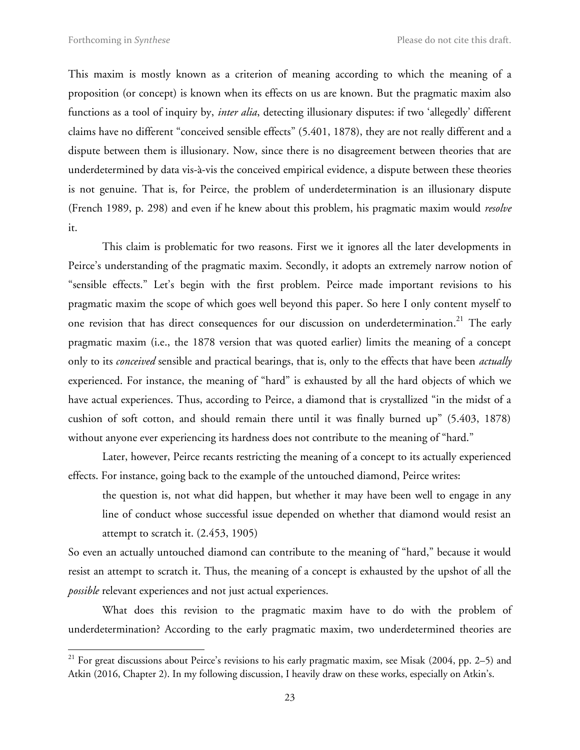$\overline{\phantom{a}}$ 

This maxim is mostly known as a criterion of meaning according to which the meaning of a proposition (or concept) is known when its effects on us are known. But the pragmatic maxim also functions as a tool of inquiry by, *inter alia*, detecting illusionary disputes: if two 'allegedly' different claims have no different "conceived sensible effects" (5.401, 1878), they are not really different and a dispute between them is illusionary. Now, since there is no disagreement between theories that are underdetermined by data vis-à-vis the conceived empirical evidence, a dispute between these theories is not genuine. That is, for Peirce, the problem of underdetermination is an illusionary dispute (French 1989, p. 298) and even if he knew about this problem, his pragmatic maxim would *resolve* it.

This claim is problematic for two reasons. First we it ignores all the later developments in Peirce's understanding of the pragmatic maxim. Secondly, it adopts an extremely narrow notion of "sensible effects." Let's begin with the first problem. Peirce made important revisions to his pragmatic maxim the scope of which goes well beyond this paper. So here I only content myself to one revision that has direct consequences for our discussion on underdetermination.<sup>21</sup> The early pragmatic maxim (i.e., the 1878 version that was quoted earlier) limits the meaning of a concept only to its *conceived* sensible and practical bearings, that is, only to the effects that have been *actually* experienced. For instance, the meaning of "hard" is exhausted by all the hard objects of which we have actual experiences. Thus, according to Peirce, a diamond that is crystallized "in the midst of a cushion of soft cotton, and should remain there until it was finally burned up" (5.403, 1878) without anyone ever experiencing its hardness does not contribute to the meaning of "hard."

Later, however, Peirce recants restricting the meaning of a concept to its actually experienced effects. For instance, going back to the example of the untouched diamond, Peirce writes:

the question is, not what did happen, but whether it may have been well to engage in any line of conduct whose successful issue depended on whether that diamond would resist an attempt to scratch it. (2.453, 1905)

So even an actually untouched diamond can contribute to the meaning of "hard," because it would resist an attempt to scratch it. Thus, the meaning of a concept is exhausted by the upshot of all the *possible* relevant experiences and not just actual experiences.

What does this revision to the pragmatic maxim have to do with the problem of underdetermination? According to the early pragmatic maxim, two underdetermined theories are

 $^{21}$  For great discussions about Peirce's revisions to his early pragmatic maxim, see Misak (2004, pp. 2–5) and Atkin (2016, Chapter 2). In my following discussion, I heavily draw on these works, especially on Atkin's.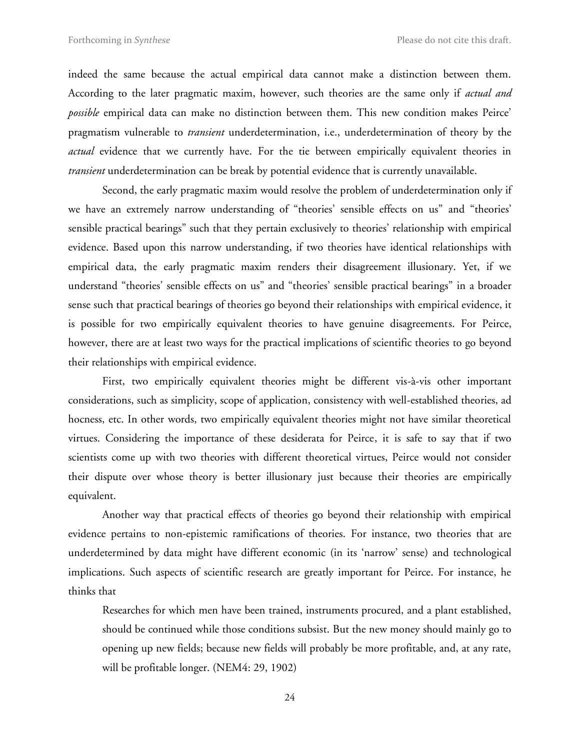indeed the same because the actual empirical data cannot make a distinction between them. According to the later pragmatic maxim, however, such theories are the same only if *actual and possible* empirical data can make no distinction between them. This new condition makes Peirce' pragmatism vulnerable to *transient* underdetermination, i.e., underdetermination of theory by the *actual* evidence that we currently have. For the tie between empirically equivalent theories in *transient* underdetermination can be break by potential evidence that is currently unavailable.

Second, the early pragmatic maxim would resolve the problem of underdetermination only if we have an extremely narrow understanding of "theories' sensible effects on us" and "theories' sensible practical bearings" such that they pertain exclusively to theories' relationship with empirical evidence. Based upon this narrow understanding, if two theories have identical relationships with empirical data, the early pragmatic maxim renders their disagreement illusionary. Yet, if we understand "theories' sensible effects on us" and "theories' sensible practical bearings" in a broader sense such that practical bearings of theories go beyond their relationships with empirical evidence, it is possible for two empirically equivalent theories to have genuine disagreements. For Peirce, however, there are at least two ways for the practical implications of scientific theories to go beyond their relationships with empirical evidence.

First, two empirically equivalent theories might be different vis-à-vis other important considerations, such as simplicity, scope of application, consistency with well-established theories, ad hocness, etc. In other words, two empirically equivalent theories might not have similar theoretical virtues. Considering the importance of these desiderata for Peirce, it is safe to say that if two scientists come up with two theories with different theoretical virtues, Peirce would not consider their dispute over whose theory is better illusionary just because their theories are empirically equivalent.

Another way that practical effects of theories go beyond their relationship with empirical evidence pertains to non-epistemic ramifications of theories. For instance, two theories that are underdetermined by data might have different economic (in its 'narrow' sense) and technological implications. Such aspects of scientific research are greatly important for Peirce. For instance, he thinks that

Researches for which men have been trained, instruments procured, and a plant established, should be continued while those conditions subsist. But the new money should mainly go to opening up new fields; because new fields will probably be more profitable, and, at any rate, will be profitable longer. (NEM4: 29, 1902)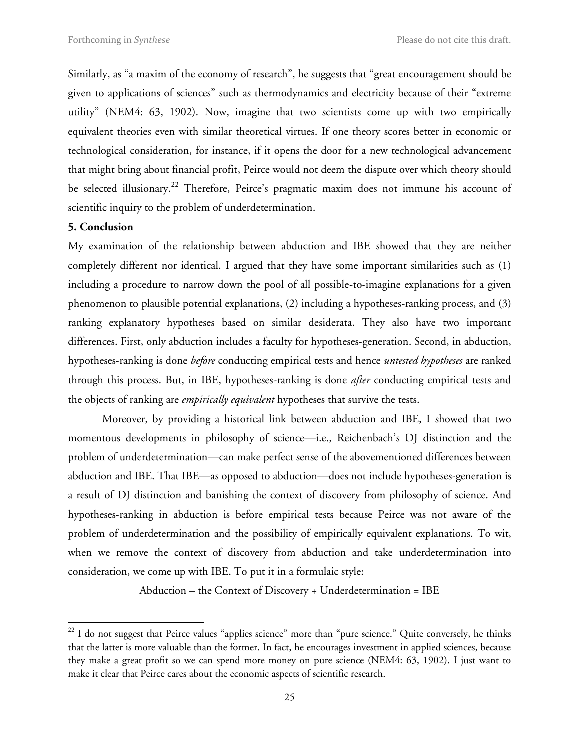Similarly, as "a maxim of the economy of research", he suggests that "great encouragement should be given to applications of sciences" such as thermodynamics and electricity because of their "extreme utility" (NEM4: 63, 1902). Now, imagine that two scientists come up with two empirically equivalent theories even with similar theoretical virtues. If one theory scores better in economic or technological consideration, for instance, if it opens the door for a new technological advancement that might bring about financial profit, Peirce would not deem the dispute over which theory should be selected illusionary.<sup>22</sup> Therefore, Peirce's pragmatic maxim does not immune his account of scientific inquiry to the problem of underdetermination.

### **5. Conclusion**

l

My examination of the relationship between abduction and IBE showed that they are neither completely different nor identical. I argued that they have some important similarities such as (1) including a procedure to narrow down the pool of all possible-to-imagine explanations for a given phenomenon to plausible potential explanations, (2) including a hypotheses-ranking process, and (3) ranking explanatory hypotheses based on similar desiderata. They also have two important differences. First, only abduction includes a faculty for hypotheses-generation. Second, in abduction, hypotheses-ranking is done *before* conducting empirical tests and hence *untested hypotheses* are ranked through this process. But, in IBE, hypotheses-ranking is done *after* conducting empirical tests and the objects of ranking are *empirically equivalent* hypotheses that survive the tests.

Moreover, by providing a historical link between abduction and IBE, I showed that two momentous developments in philosophy of science—i.e., Reichenbach's DJ distinction and the problem of underdetermination—can make perfect sense of the abovementioned differences between abduction and IBE. That IBE—as opposed to abduction—does not include hypotheses-generation is a result of DJ distinction and banishing the context of discovery from philosophy of science. And hypotheses-ranking in abduction is before empirical tests because Peirce was not aware of the problem of underdetermination and the possibility of empirically equivalent explanations. To wit, when we remove the context of discovery from abduction and take underdetermination into consideration, we come up with IBE. To put it in a formulaic style:

Abduction – the Context of Discovery + Underdetermination = IBE

 $22$  I do not suggest that Peirce values "applies science" more than "pure science." Quite conversely, he thinks that the latter is more valuable than the former. In fact, he encourages investment in applied sciences, because they make a great profit so we can spend more money on pure science (NEM4: 63, 1902). I just want to make it clear that Peirce cares about the economic aspects of scientific research.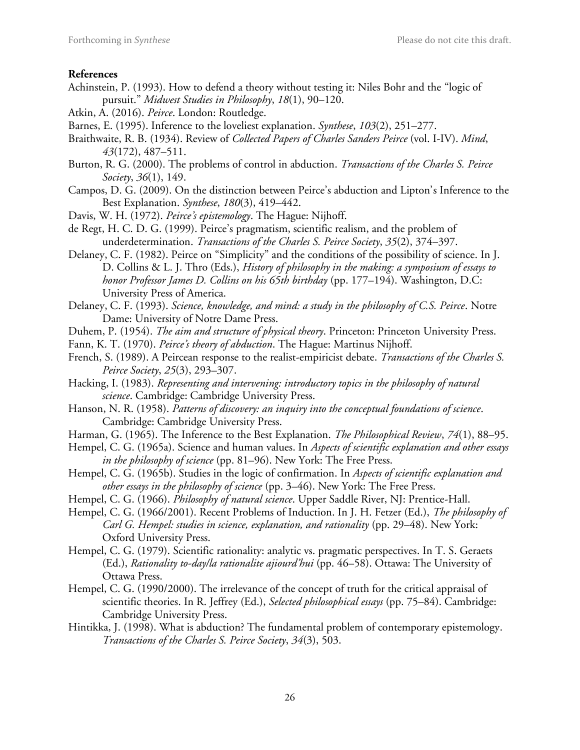# **References**

- Achinstein, P. (1993). How to defend a theory without testing it: Niles Bohr and the "logic of pursuit." *Midwest Studies in Philosophy*, *18*(1), 90–120.
- Atkin, A. (2016). *Peirce*. London: Routledge.
- Barnes, E. (1995). Inference to the loveliest explanation. *Synthese*, *103*(2), 251–277.
- Braithwaite, R. B. (1934). Review of *Collected Papers of Charles Sanders Peirce* (vol. I-IV). *Mind*, *43*(172), 487–511.
- Burton, R. G. (2000). The problems of control in abduction. *Transactions of the Charles S. Peirce Society*, *36*(1), 149.
- Campos, D. G. (2009). On the distinction between Peirce's abduction and Lipton's Inference to the Best Explanation. *Synthese*, *180*(3), 419–442.
- Davis, W. H. (1972). *Peirce's epistemology*. The Hague: Nijhoff.
- de Regt, H. C. D. G. (1999). Peirce's pragmatism, scientific realism, and the problem of underdetermination. *Transactions of the Charles S. Peirce Society*, *35*(2), 374–397.
- Delaney, C. F. (1982). Peirce on "Simplicity" and the conditions of the possibility of science. In J. D. Collins & L. J. Thro (Eds.), *History of philosophy in the making: a symposium of essays to honor Professor James D. Collins on his 65th birthday* (pp. 177–194). Washington, D.C: University Press of America.
- Delaney, C. F. (1993). *Science, knowledge, and mind: a study in the philosophy of C.S. Peirce*. Notre Dame: University of Notre Dame Press.
- Duhem, P. (1954). *The aim and structure of physical theory*. Princeton: Princeton University Press.
- Fann, K. T. (1970). *Peirce's theory of abduction*. The Hague: Martinus Nijhoff.
- French, S. (1989). A Peircean response to the realist-empiricist debate. *Transactions of the Charles S. Peirce Society*, *25*(3), 293–307.
- Hacking, I. (1983). *Representing and intervening: introductory topics in the philosophy of natural science*. Cambridge: Cambridge University Press.
- Hanson, N. R. (1958). *Patterns of discovery: an inquiry into the conceptual foundations of science*. Cambridge: Cambridge University Press.
- Harman, G. (1965). The Inference to the Best Explanation. *The Philosophical Review*, *74*(1), 88–95.
- Hempel, C. G. (1965a). Science and human values. In *Aspects of scientific explanation and other essays in the philosophy of science* (pp. 81–96). New York: The Free Press.
- Hempel, C. G. (1965b). Studies in the logic of confirmation. In *Aspects of scientific explanation and other essays in the philosophy of science* (pp. 3–46). New York: The Free Press.
- Hempel, C. G. (1966). *Philosophy of natural science*. Upper Saddle River, NJ: Prentice-Hall.
- Hempel, C. G. (1966/2001). Recent Problems of Induction. In J. H. Fetzer (Ed.), *The philosophy of Carl G. Hempel: studies in science, explanation, and rationality* (pp. 29–48). New York: Oxford University Press.
- Hempel, C. G. (1979). Scientific rationality: analytic vs. pragmatic perspectives. In T. S. Geraets (Ed.), *Rationality to-day/la rationalite ajiourd'hui* (pp. 46–58). Ottawa: The University of Ottawa Press.
- Hempel, C. G. (1990/2000). The irrelevance of the concept of truth for the critical appraisal of scientific theories. In R. Jeffrey (Ed.), *Selected philosophical essays* (pp. 75–84). Cambridge: Cambridge University Press.
- Hintikka, J. (1998). What is abduction? The fundamental problem of contemporary epistemology. *Transactions of the Charles S. Peirce Society*, *34*(3), 503.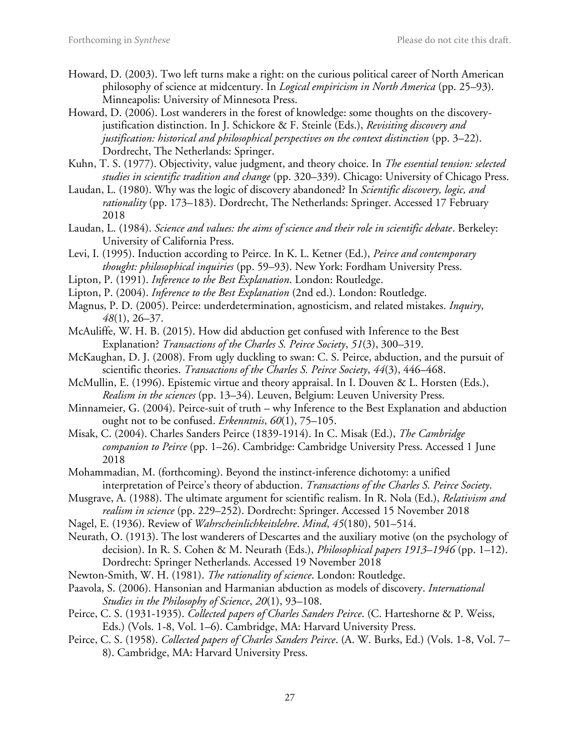- Howard, D. (2003). Two left turns make a right: on the curious political career of North American philosophy of science at midcentury. In *Logical empiricism in North America* (pp. 25–93). Minneapolis: University of Minnesota Press.
- Howard, D. (2006). Lost wanderers in the forest of knowledge: some thoughts on the discoveryjustification distinction. In J. Schickore & F. Steinle (Eds.), *Revisiting discovery and justification: historical and philosophical perspectives on the context distinction* (pp. 3–22). Dordrecht, The Netherlands: Springer.
- Kuhn, T. S. (1977). Objectivity, value judgment, and theory choice. In *The essential tension: selected studies in scientific tradition and change* (pp. 320–339). Chicago: University of Chicago Press.
- Laudan, L. (1980). Why was the logic of discovery abandoned? In *Scientific discovery, logic, and rationality* (pp. 173–183). Dordrecht, The Netherlands: Springer. Accessed 17 February 2018
- Laudan, L. (1984). *Science and values: the aims of science and their role in scientific debate*. Berkeley: University of California Press.
- Levi, I. (1995). Induction according to Peirce. In K. L. Ketner (Ed.), *Peirce and contemporary thought: philosophical inquiries* (pp. 59–93). New York: Fordham University Press.
- Lipton, P. (1991). *Inference to the Best Explanation*. London: Routledge.
- Lipton, P. (2004). *Inference to the Best Explanation* (2nd ed.). London: Routledge.
- Magnus, P. D. (2005). Peirce: underdetermination, agnosticism, and related mistakes. *Inquiry*, *48*(1), 26–37.
- McAuliffe, W. H. B. (2015). How did abduction get confused with Inference to the Best Explanation? *Transactions of the Charles S. Peirce Society*, *51*(3), 300–319.
- McKaughan, D. J. (2008). From ugly duckling to swan: C. S. Peirce, abduction, and the pursuit of scientific theories. *Transactions of the Charles S. Peirce Society*, *44*(3), 446–468.
- McMullin, E. (1996). Epistemic virtue and theory appraisal. In I. Douven & L. Horsten (Eds.), *Realism in the sciences* (pp. 13–34). Leuven, Belgium: Leuven University Press.
- Minnameier, G. (2004). Peirce-suit of truth why Inference to the Best Explanation and abduction ought not to be confused. *Erkenntnis*, *60*(1), 75–105.
- Misak, C. (2004). Charles Sanders Peirce (1839-1914). In C. Misak (Ed.), *The Cambridge companion to Peirce* (pp. 1–26). Cambridge: Cambridge University Press. Accessed 1 June 2018
- Mohammadian, M. (forthcoming). Beyond the instinct-inference dichotomy: a unified interpretation of Peirce's theory of abduction. *Transactions of the Charles S. Peirce Society*.
- Musgrave, A. (1988). The ultimate argument for scientific realism. In R. Nola (Ed.), *Relativism and realism in science* (pp. 229–252). Dordrecht: Springer. Accessed 15 November 2018
- Nagel, E. (1936). Review of *Wahrscheinlichkeitslehre*. *Mind*, *45*(180), 501–514.
- Neurath, O. (1913). The lost wanderers of Descartes and the auxiliary motive (on the psychology of decision). In R. S. Cohen & M. Neurath (Eds.), *Philosophical papers 1913–1946* (pp. 1–12). Dordrecht: Springer Netherlands. Accessed 19 November 2018
- Newton-Smith, W. H. (1981). *The rationality of science*. London: Routledge.
- Paavola, S. (2006). Hansonian and Harmanian abduction as models of discovery. *International Studies in the Philosophy of Science*, *20*(1), 93–108.
- Peirce, C. S. (1931-1935). *Collected papers of Charles Sanders Peirce*. (C. Harteshorne & P. Weiss, Eds.) (Vols. 1-8, Vol. 1–6). Cambridge, MA: Harvard University Press.
- Peirce, C. S. (1958). *Collected papers of Charles Sanders Peirce*. (A. W. Burks, Ed.) (Vols. 1-8, Vol. 7– 8). Cambridge, MA: Harvard University Press.